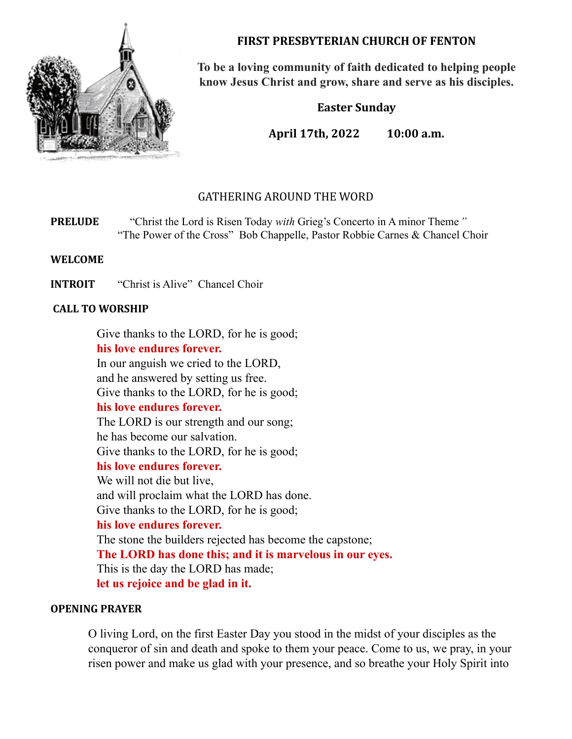

**FIRST PRESBYTERIAN CHURCH OF FENTON**

**To be a loving community of faith dedicated to helping people know Jesus Christ and grow, share and serve as his disciples.**

**Easter Sunday**

**April 17th, 2022 10:00 a.m.**

# GATHERING AROUND THE WORD

**PRELUDE** "Christ the Lord is Risen Today *with* Grieg's Concerto in A minor Theme*"* "The Power of the Cross" Bob Chappelle, Pastor Robbie Carnes & Chancel Choir

**WELCOME**

**INTROIT** "Christ is Alive" Chancel Choir

# **CALL TO WORSHIP**

Give thanks to the LORD, for he is good; **his love endures forever.** In our anguish we cried to the LORD, and he answered by setting us free. Give thanks to the LORD, for he is good; **his love endures forever.** The LORD is our strength and our song; he has become our salvation. Give thanks to the LORD, for he is good; **his love endures forever.** We will not die but live. and will proclaim what the LORD has done. Give thanks to the LORD, for he is good; **his love endures forever.** The stone the builders rejected has become the capstone; **The LORD has done this; and it is marvelous in our eyes.** This is the day the LORD has made; **let us rejoice and be glad in it.**

# **OPENING PRAYER**

O living Lord, on the first Easter Day you stood in the midst of your disciples as the conqueror of sin and death and spoke to them your peace. Come to us, we pray, in your risen power and make us glad with your presence, and so breathe your Holy Spirit into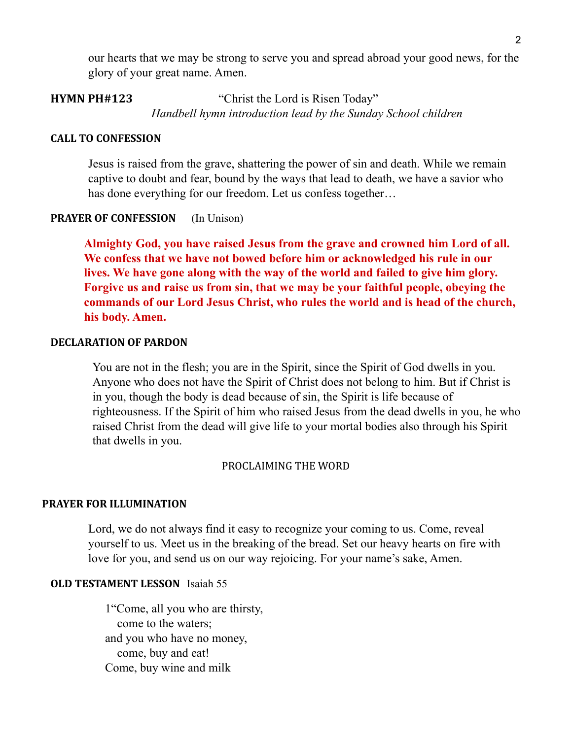our hearts that we may be strong to serve you and spread abroad your good news, for the glory of your great name. Amen.

# **HYMN PH#123** "Christ the Lord is Risen Today" *Handbell hymn introduction lead by the Sunday School children*

## **CALL TO CONFESSION**

Jesus is raised from the grave, shattering the power of sin and death. While we remain captive to doubt and fear, bound by the ways that lead to death, we have a savior who has done everything for our freedom. Let us confess together...

# **PRAYER OF CONFESSION** (In Unison)

**Almighty God, you have raised Jesus from the grave and crowned him Lord of all. We confess that we have not bowed before him or acknowledged his rule in our lives. We have gone along with the way of the world and failed to give him glory. Forgive us and raise us from sin, that we may be your faithful people, obeying the commands of our Lord Jesus Christ, who rules the world and is head of the church, his body. Amen.**

### **DECLARATION OF PARDON**

You are not in the flesh; you are in the Spirit, since the Spirit of God dwells in you. Anyone who does not have the Spirit of Christ does not belong to him. But if Christ is in you, though the body is dead because of sin, the Spirit is life because of righteousness. If the Spirit of him who raised Jesus from the dead dwells in you, he who raised Christ from the dead will give life to your mortal bodies also through his Spirit that dwells in you.

#### PROCLAIMING THE WORD

# **PRAYER FOR ILLUMINATION**

Lord, we do not always find it easy to recognize your coming to us. Come, reveal yourself to us. Meet us in the breaking of the bread. Set our heavy hearts on fire with love for you, and send us on our way rejoicing. For your name's sake, Amen.

# **OLD TESTAMENT LESSON** Isaiah 55

1"Come, all you who are thirsty, come to the waters; and you who have no money, come, buy and eat! Come, buy wine and milk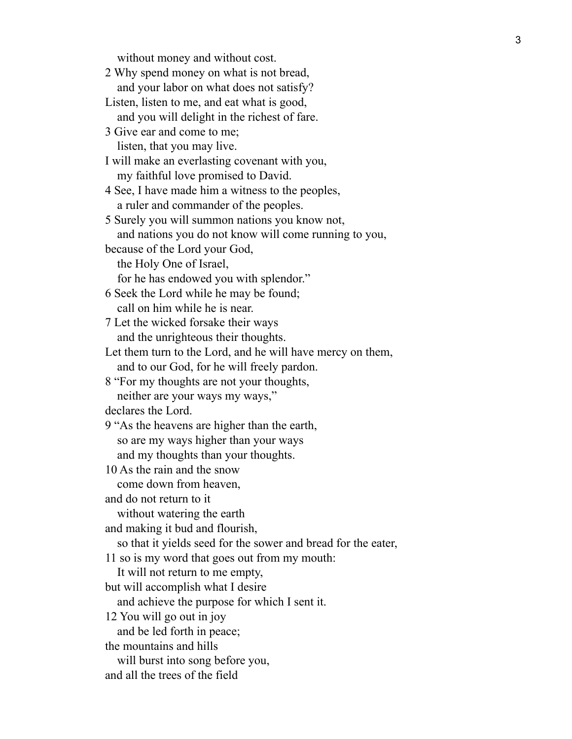without money and without cost.

2 Why spend money on what is not bread, and your labor on what does not satisfy?

- Listen, listen to me, and eat what is good, and you will delight in the richest of fare.
- 3 Give ear and come to me; listen, that you may live.

I will make an everlasting covenant with you, my faithful love promised to David.

4 See, I have made him a witness to the peoples, a ruler and commander of the peoples.

5 Surely you will summon nations you know not, and nations you do not know will come running to you,

because of the Lord your God,

the Holy One of Israel,

for he has endowed you with splendor."

6 Seek the Lord while he may be found; call on him while he is near.

7 Let the wicked forsake their ways and the unrighteous their thoughts.

Let them turn to the Lord, and he will have mercy on them, and to our God, for he will freely pardon.

8 "For my thoughts are not your thoughts, neither are your ways my ways,"

declares the Lord.

9 "As the heavens are higher than the earth, so are my ways higher than your ways and my thoughts than your thoughts.

10 As the rain and the snow

come down from heaven,

and do not return to it

without watering the earth

and making it bud and flourish,

so that it yields seed for the sower and bread for the eater,

11 so is my word that goes out from my mouth:

It will not return to me empty,

but will accomplish what I desire

and achieve the purpose for which I sent it.

12 You will go out in joy

and be led forth in peace;

the mountains and hills

will burst into song before you,

and all the trees of the field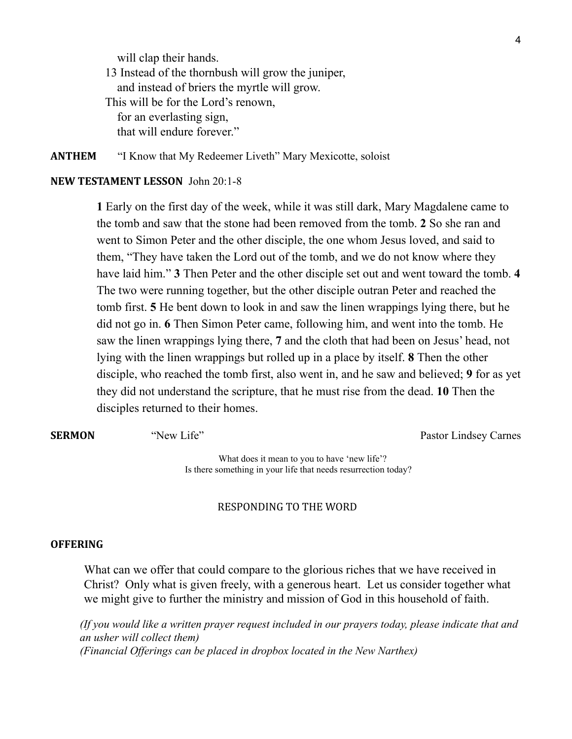will clap their hands. 13 Instead of the thornbush will grow the juniper, and instead of briers the myrtle will grow. This will be for the Lord's renown, for an everlasting sign, that will endure forever."

**ANTHEM** "I Know that My Redeemer Liveth" Mary Mexicotte, soloist

# **NEW TESTAMENT LESSON** John 20:1-8

**1** Early on the first day of the week, while it was still dark, Mary Magdalene came to the tomb and saw that the stone had been removed from the tomb. **2** So she ran and went to Simon Peter and the other disciple, the one whom Jesus loved, and said to them, "They have taken the Lord out of the tomb, and we do not know where they have laid him." **3** Then Peter and the other disciple set out and went toward the tomb. **4** The two were running together, but the other disciple outran Peter and reached the tomb first. **5** He bent down to look in and saw the linen wrappings lying there, but he did not go in. **6** Then Simon Peter came, following him, and went into the tomb. He saw the linen wrappings lying there, **7** and the cloth that had been on Jesus' head, not lying with the linen wrappings but rolled up in a place by itself. **8** Then the other disciple, who reached the tomb first, also went in, and he saw and believed; **9** for as yet they did not understand the scripture, that he must rise from the dead. **10** Then the disciples returned to their homes.

**SERMON** "New Life" Pastor Lindsey Carnes

What does it mean to you to have 'new life'? Is there something in your life that needs resurrection today?

#### RESPONDING TO THE WORD

#### **OFFERING**

What can we offer that could compare to the glorious riches that we have received in Christ? Only what is given freely, with a generous heart. Let us consider together what we might give to further the ministry and mission of God in this household of faith.

*(If you would like a written prayer request included in our prayers today, please indicate that and an usher will collect them) (Financial Offerings can be placed in dropbox located in the New Narthex)*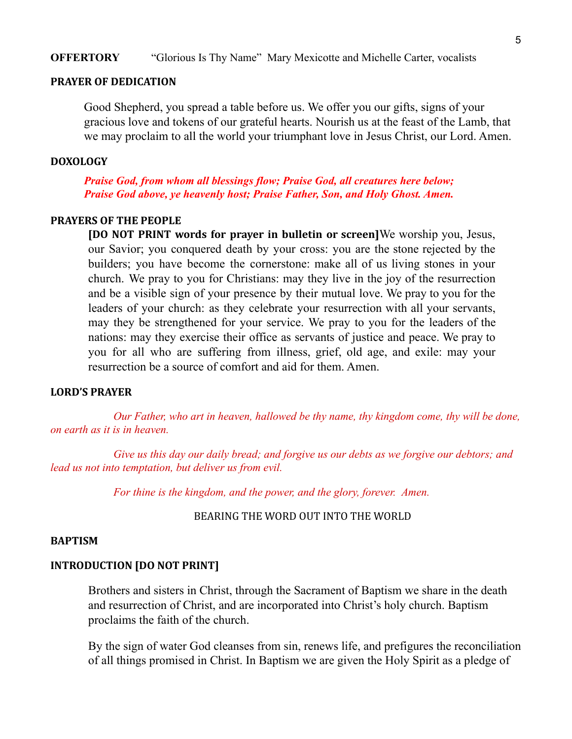### **OFFERTORY** "Glorious Is Thy Name" Mary Mexicotte and Michelle Carter, vocalists

## **PRAYER OF DEDICATION**

Good Shepherd, you spread a table before us. We offer you our gifts, signs of your gracious love and tokens of our grateful hearts. Nourish us at the feast of the Lamb, that we may proclaim to all the world your triumphant love in Jesus Christ, our Lord. Amen.

#### **DOXOLOGY**

*Praise God, from whom all blessings flow; Praise God, all creatures here below; Praise God above, ye heavenly host; Praise Father, Son, and Holy Ghost. Amen.*

#### **PRAYERS OF THE PEOPLE**

**[DO NOT PRINT words for prayer in bulletin or screen]**We worship you, Jesus, our Savior; you conquered death by your cross: you are the stone rejected by the builders; you have become the cornerstone: make all of us living stones in your church. We pray to you for Christians: may they live in the joy of the resurrection and be a visible sign of your presence by their mutual love. We pray to you for the leaders of your church: as they celebrate your resurrection with all your servants, may they be strengthened for your service. We pray to you for the leaders of the nations: may they exercise their office as servants of justice and peace. We pray to you for all who are suffering from illness, grief, old age, and exile: may your resurrection be a source of comfort and aid for them. Amen.

### **LORD'S PRAYER**

*Our Father, who art in heaven, hallowed be thy name, thy kingdom come, thy will be done, on earth as it is in heaven.*

*Give us this day our daily bread; and forgive us our debts as we forgive our debtors; and lead us not into temptation, but deliver us from evil.*

*For thine is the kingdom, and the power, and the glory, forever. Amen.*

BEARING THE WORD OUT INTO THE WORLD

#### **BAPTISM**

### **INTRODUCTION [DO NOT PRINT]**

Brothers and sisters in Christ, through the Sacrament of Baptism we share in the death and resurrection of Christ, and are incorporated into Christ's holy church. Baptism proclaims the faith of the church.

By the sign of water God cleanses from sin, renews life, and prefigures the reconciliation of all things promised in Christ. In Baptism we are given the Holy Spirit as a pledge of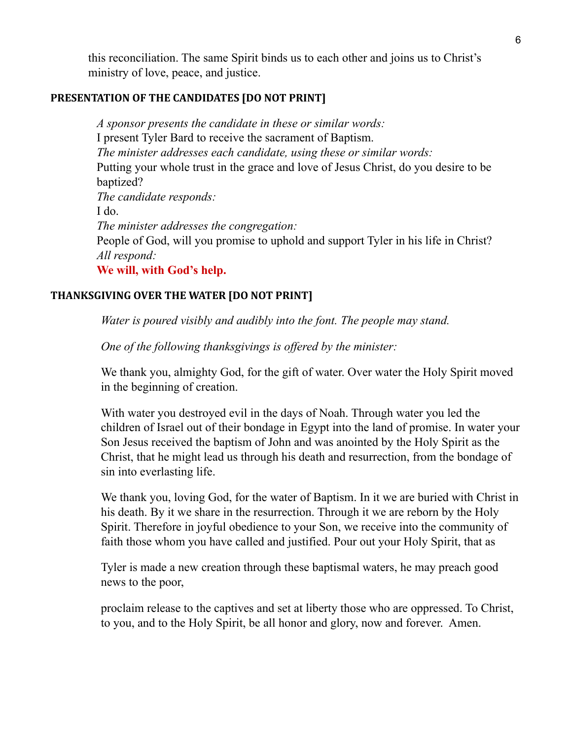this reconciliation. The same Spirit binds us to each other and joins us to Christ's ministry of love, peace, and justice.

# **PRESENTATION OF THE CANDIDATES [DO NOT PRINT]**

*A sponsor presents the candidate in these or similar words:* I present Tyler Bard to receive the sacrament of Baptism. *The minister addresses each candidate, using these or similar words:* Putting your whole trust in the grace and love of Jesus Christ, do you desire to be baptized? *The candidate responds:* I do. *The minister addresses the congregation:* People of God, will you promise to uphold and support Tyler in his life in Christ? *All respond:* **We will, with God's help.**

# **THANKSGIVING OVER THE WATER [DO NOT PRINT]**

*Water is poured visibly and audibly into the font. The people may stand.*

*One of the following thanksgivings is of ered by the minister:*

We thank you, almighty God, for the gift of water. Over water the Holy Spirit moved in the beginning of creation.

With water you destroyed evil in the days of Noah. Through water you led the children of Israel out of their bondage in Egypt into the land of promise. In water your Son Jesus received the baptism of John and was anointed by the Holy Spirit as the Christ, that he might lead us through his death and resurrection, from the bondage of sin into everlasting life.

We thank you, loving God, for the water of Baptism. In it we are buried with Christ in his death. By it we share in the resurrection. Through it we are reborn by the Holy Spirit. Therefore in joyful obedience to your Son, we receive into the community of faith those whom you have called and justified. Pour out your Holy Spirit, that as

Tyler is made a new creation through these baptismal waters, he may preach good news to the poor,

proclaim release to the captives and set at liberty those who are oppressed. To Christ, to you, and to the Holy Spirit, be all honor and glory, now and forever. Amen.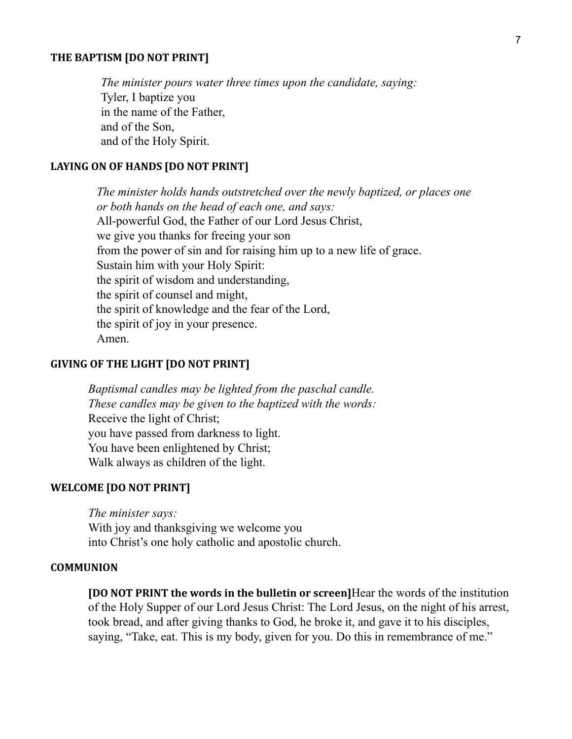#### **THE BAPTISM [DO NOT PRINT]**

*The minister pours water three times upon the candidate, saying:* Tyler, I baptize you in the name of the Father, and of the Son, and of the Holy Spirit.

# **LAYING ON OF HANDS [DO NOT PRINT]**

*The minister holds hands outstretched over the newly baptized, or places one or both hands on the head of each one, and says:* All-powerful God, the Father of our Lord Jesus Christ, we give you thanks for freeing your son from the power of sin and for raising him up to a new life of grace. Sustain him with your Holy Spirit: the spirit of wisdom and understanding, the spirit of counsel and might, the spirit of knowledge and the fear of the Lord, the spirit of joy in your presence. Amen.

#### **GIVING OF THE LIGHT [DO NOT PRINT]**

*Baptismal candles may be lighted from the paschal candle. These candles may be given to the baptized with the words:* Receive the light of Christ; you have passed from darkness to light. You have been enlightened by Christ; Walk always as children of the light.

### **WELCOME [DO NOT PRINT]**

*The minister says:* With joy and thanksgiving we welcome you into Christ's one holy catholic and apostolic church.

#### **COMMUNION**

**[DO NOT PRINT the words in the bulletin or screen]**Hear the words of the institution of the Holy Supper of our Lord Jesus Christ: The Lord Jesus, on the night of his arrest, took bread, and after giving thanks to God, he broke it, and gave it to his disciples, saying, "Take, eat. This is my body, given for you. Do this in remembrance of me."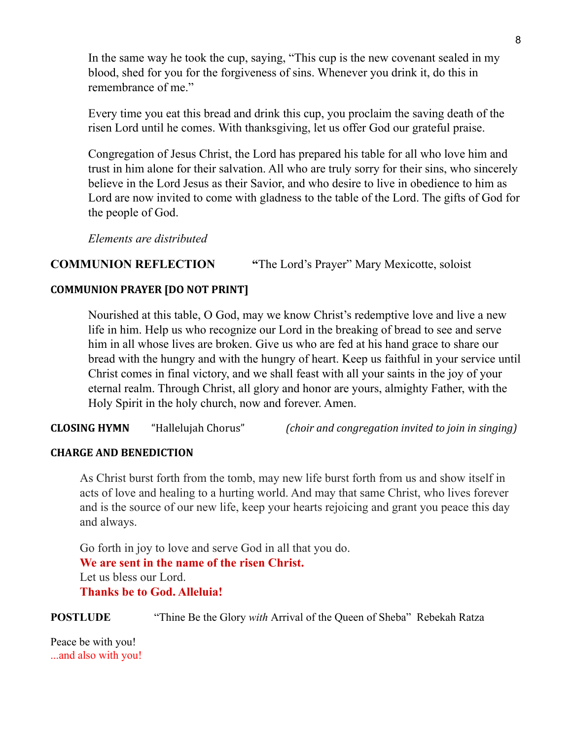In the same way he took the cup, saying, "This cup is the new covenant sealed in my blood, shed for you for the forgiveness of sins. Whenever you drink it, do this in remembrance of me."

Every time you eat this bread and drink this cup, you proclaim the saving death of the risen Lord until he comes. With thanksgiving, let us offer God our grateful praise.

Congregation of Jesus Christ, the Lord has prepared his table for all who love him and trust in him alone for their salvation. All who are truly sorry for their sins, who sincerely believe in the Lord Jesus as their Savior, and who desire to live in obedience to him as Lord are now invited to come with gladness to the table of the Lord. The gifts of God for the people of God.

*Elements are distributed*

# **COMMUNION REFLECTION "**The Lord's Prayer" Mary Mexicotte, soloist

# **COMMUNION PRAYER [DO NOT PRINT]**

Nourished at this table, O God, may we know Christ's redemptive love and live a new life in him. Help us who recognize our Lord in the breaking of bread to see and serve him in all whose lives are broken. Give us who are fed at his hand grace to share our bread with the hungry and with the hungry of heart. Keep us faithful in your service until Christ comes in final victory, and we shall feast with all your saints in the joy of your eternal realm. Through Christ, all glory and honor are yours, almighty Father, with the Holy Spirit in the holy church, now and forever. Amen.

**CLOSING HYMN** "Hallelujah Chorus" *(choir and congregation invited to join in singing)*

# **CHARGE AND BENEDICTION**

As Christ burst forth from the tomb, may new life burst forth from us and show itself in acts of love and healing to a hurting world. And may that same Christ, who lives forever and is the source of our new life, keep your hearts rejoicing and grant you peace this day and always.

Go forth in joy to love and serve God in all that you do. **We are sent in the name of the risen Christ.** Let us bless our Lord. **Thanks be to God. Alleluia!**

**POSTLUDE** "Thine Be the Glory *with* Arrival of the Queen of Sheba" Rebekah Ratza

Peace be with you! ...and also with you!